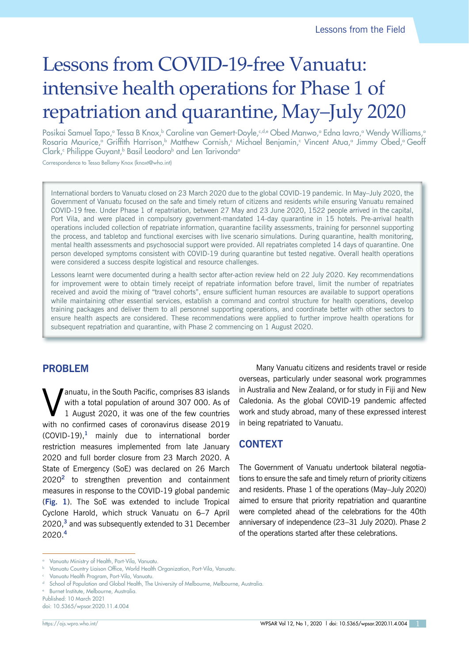# Lessons from COVID-19-free Vanuatu: intensive health operations for Phase 1 of repatriation and quarantine, May–July 2020

Posikai Samuel Tapo,ª Tessa B Knox,b Caroline van Gemert-Doyle,<u>sde Obed Manwo,ª Edna Iavro,ª Wendy Williams,ª</u> Rosaria Maurice,<sup>a</sup> Griffith Harrison,<sup>b</sup> Matthew Cornish,<sup>c</sup> Michael Benjamin,<sup>c</sup> Vincent Atua,<sup>a</sup> Jimmy Obed,<sup>a</sup>Geoff Clark,<sup>c</sup> Philippe Guyant,<sup>b</sup> Basil Leodoro<sup>b</sup> and Len Tarivonda<sup>a</sup>

Correspondence to Tessa Bellamy Knox (knoxt@who.int)

International borders to Vanuatu closed on 23 March 2020 due to the global COVID-19 pandemic. In May–July 2020, the Government of Vanuatu focused on the safe and timely return of citizens and residents while ensuring Vanuatu remained COVID-19 free. Under Phase 1 of repatriation, between 27 May and 23 June 2020, 1522 people arrived in the capital, Port Vila, and were placed in compulsory government-mandated 14-day quarantine in 15 hotels. Pre-arrival health operations included collection of repatriate information, quarantine facility assessments, training for personnel supporting the process, and tabletop and functional exercises with live scenario simulations. During quarantine, health monitoring, mental health assessments and psychosocial support were provided. All repatriates completed 14 days of quarantine. One person developed symptoms consistent with COVID-19 during quarantine but tested negative. Overall health operations were considered a success despite logistical and resource challenges.

Lessons learnt were documented during a health sector after-action review held on 22 July 2020. Key recommendations for improvement were to obtain timely receipt of repatriate information before travel, limit the number of repatriates received and avoid the mixing of "travel cohorts", ensure sufficient human resources are available to support operations while maintaining other essential services, establish a command and control structure for health operations, develop training packages and deliver them to all personnel supporting operations, and coordinate better with other sectors to ensure health aspects are considered. These recommendations were applied to further improve health operations for subsequent repatriation and quarantine, with Phase 2 commencing on 1 August 2020.

## **PROBLEM**

Vanuatu, in the South Pacific, comprises 83 islands<br>with a total population of around 307 000. As of<br>1 August 2020, it was one of the few countries with a total population of around 307 000. As of 1 August 2020, it was one of the few countries with no confirmed cases of coronavirus disease 2019 (COVID-19),**<sup>1</sup>** mainly due to international border restriction measures implemented from late January 2020 and full border closure from 23 March 2020. A State of Emergency (SoE) was declared on 26 March 2020**<sup>2</sup>** to strengthen prevention and containment measures in response to the COVID-19 global pandemic (**[Fig.](#page-1-0) 1**). The SoE was extended to include Tropical Cyclone Harold, which struck Vanuatu on 6–7 April 2020,**<sup>3</sup>** and was subsequently extended to 31 December 2020.**<sup>4</sup>**

Many Vanuatu citizens and residents travel or reside overseas, particularly under seasonal work programmes in Australia and New Zealand, or for study in Fiji and New Caledonia. As the global COVID-19 pandemic affected work and study abroad, many of these expressed interest in being repatriated to Vanuatu.

# **CONTEXT**

The Government of Vanuatu undertook bilateral negotiations to ensure the safe and timely return of priority citizens and residents. Phase 1 of the operations (May–July 2020) aimed to ensure that priority repatriation and quarantine were completed ahead of the celebrations for the 40th anniversary of independence (23–31 July 2020). Phase 2 of the operations started after these celebrations.

<sup>a</sup> Vanuatu Ministry of Health, Port-Vila, Vanuatu.

**b** Vanuatu Country Liaison Office, World Health Organization, Port-Vila, Vanuatu.

Vanuatu Health Program, Port-Vila, Vanuatu.

d School of Population and Global Health, The University of Melbourne, Melbourne, Australia.

Burnet Institute, Melbourne, Australia.

Published: 10 March 2021

doi: 10.5365/wpsar.2020.11.4.004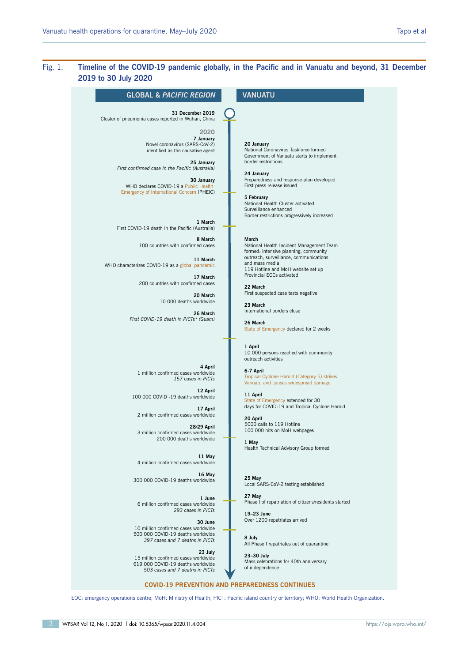## <span id="page-1-0"></span>Fig. 1. **Timeline of the COVID-19 pandemic globally, in the Pacific and in Vanuatu and beyond, 31 December 2019 to 30 July 2020**

| <b>GLOBAL &amp; PACIFIC REGION</b>                                                                                                                                                                                                                                                                                                                                                                                                                                                                                                                                                                               | VANUATU                                                                                                                                                                                                                                                                                                                                                                                                                                                                                                                                                                                                                                                               |
|------------------------------------------------------------------------------------------------------------------------------------------------------------------------------------------------------------------------------------------------------------------------------------------------------------------------------------------------------------------------------------------------------------------------------------------------------------------------------------------------------------------------------------------------------------------------------------------------------------------|-----------------------------------------------------------------------------------------------------------------------------------------------------------------------------------------------------------------------------------------------------------------------------------------------------------------------------------------------------------------------------------------------------------------------------------------------------------------------------------------------------------------------------------------------------------------------------------------------------------------------------------------------------------------------|
| 31 December 2019<br>Cluster of pneumonia cases reported in Wuhan, China<br>2020<br>7 January<br>Novel coronavirus (SARS-CoV-2)<br>identified as the causative agent<br>25 January<br>First confirmed case in the Pacific (Australia)<br>30 January<br>WHO declares COVID-19 a Public Health<br>Emergency of International Concern (PHEIC)<br>1 March<br>First COVID-19 death in the Pacific (Australia)<br>8 March<br>100 countries with confirmed cases<br>11 March<br>WHO characterizes COVID-19 as a global pandemic<br>17 March<br>200 countries with confirmed cases<br>20 March<br>10 000 deaths worldwide | 20 January<br>National Coronavirus Taskforce formed<br>Government of Vanuatu starts to implement<br>border restrictions<br>24 January<br>Preparedness and response plan developed<br>First press release issued<br>5 February<br>National Health Cluster activated<br>Surveillance enhanced<br>Border restrictions progressively increased<br>March<br>National Health Incident Management Team<br>formed: intensive planning, community<br>outreach, surveillance, communications<br>and mass media<br>119 Hotline and MoH website set up<br>Provincial EOCs activated<br>22 March<br>First suspected case tests negative<br>23 March<br>International borders close |
| 26 March<br>First COVID-19 death in PICTs* (Guam)                                                                                                                                                                                                                                                                                                                                                                                                                                                                                                                                                                | 26 March<br>State of Emergency declared for 2 weeks<br>1 April<br>10 000 persons reached with community<br>outreach activities                                                                                                                                                                                                                                                                                                                                                                                                                                                                                                                                        |
| 4 April<br>1 million confirmed cases worldwide<br>157 cases in PICTs<br>12 April<br>100 000 COVID -19 deaths worldwide                                                                                                                                                                                                                                                                                                                                                                                                                                                                                           | 6-7 April<br>Tropical Cyclone Harold (Category 5) strikes<br>Vanuatu and causes widespread damage<br>11 April<br>State of Emergency extended for 30                                                                                                                                                                                                                                                                                                                                                                                                                                                                                                                   |
| 17 April<br>2 million confirmed cases worldwide<br>28/29 April<br>3 million confirmed cases worldwide<br>200 000 deaths worldwide                                                                                                                                                                                                                                                                                                                                                                                                                                                                                | days for COVID-19 and Tropical Cyclone Harold<br>20 April<br>5000 calls to 119 Hotline<br>100 000 hits on MoH webpages<br>1 May<br>Health Technical Advisory Group formed                                                                                                                                                                                                                                                                                                                                                                                                                                                                                             |
| 11 May<br>4 million confirmed cases worldwide<br>16 May<br>300 000 COVID-19 deaths worldwide                                                                                                                                                                                                                                                                                                                                                                                                                                                                                                                     | 25 May<br>Local SARS-CoV-2 testing established                                                                                                                                                                                                                                                                                                                                                                                                                                                                                                                                                                                                                        |
| 1 June<br>6 million confirmed cases worldwide<br>293 cases in PICTs<br>30 June                                                                                                                                                                                                                                                                                                                                                                                                                                                                                                                                   | 27 May<br>Phase I of repatriation of citizens/residents started<br>19-23 June<br>Over 1200 repatriates arrived                                                                                                                                                                                                                                                                                                                                                                                                                                                                                                                                                        |
| 10 million confirmed cases worldwide<br>500 000 COVID-19 deaths worldwide<br>397 cases and 7 deaths in PICTs<br>23 July                                                                                                                                                                                                                                                                                                                                                                                                                                                                                          | 8 July<br>All Phase I repatriates out of quarantine<br>23-30 July                                                                                                                                                                                                                                                                                                                                                                                                                                                                                                                                                                                                     |
| 15 million confirmed cases worldwide<br>619 000 COVID-19 deaths worldwide<br>503 cases and 7 deaths in PICTs                                                                                                                                                                                                                                                                                                                                                                                                                                                                                                     | Mass celebrations for 40th anniversary<br>of independence                                                                                                                                                                                                                                                                                                                                                                                                                                                                                                                                                                                                             |

EOC: emergency operations centre; MoH: Ministry of Health; PICT: Pacific island country or territory; WHO: World Health Organization.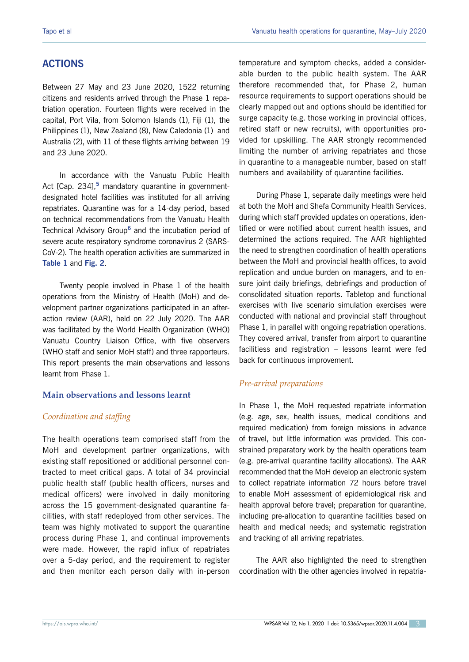# **ACTIONS**

Between 27 May and 23 June 2020, 1522 returning citizens and residents arrived through the Phase 1 repatriation operation. Fourteen flights were received in the capital, Port Vila, from Solomon Islands (1), Fiji (1), the Philippines (1), New Zealand (8), New Caledonia (1) and Australia (2), with 11 of these flights arriving between 19 and 23 June 2020.

In accordance with the Vanuatu Public Health Act [Cap. 234],**<sup>5</sup>** mandatory quarantine in governmentdesignated hotel facilities was instituted for all arriving repatriates. Quarantine was for a 14-day period, based on technical recommendations from the Vanuatu Health Technical Advisory Group**<sup>6</sup>** and the incubation period of severe acute respiratory syndrome coronavirus 2 (SARS-CoV-2). The health operation activities are summarized in **[Table](#page-3-0) 1** and **[Fig. 2](#page-4-0)**.

Twenty people involved in Phase 1 of the health operations from the Ministry of Health (MoH) and development partner organizations participated in an afteraction review (AAR), held on 22 July 2020. The AAR was facilitated by the World Health Organization (WHO) Vanuatu Country Liaison Office, with five observers (WHO staff and senior MoH staff) and three rapporteurs. This report presents the main observations and lessons learnt from Phase 1.

#### **Main observations and lessons learnt**

## *Coordination and staffing*

The health operations team comprised staff from the MoH and development partner organizations, with existing staff repositioned or additional personnel contracted to meet critical gaps. A total of 34 provincial public health staff (public health officers, nurses and medical officers) were involved in daily monitoring across the 15 government-designated quarantine facilities, with staff redeployed from other services. The team was highly motivated to support the quarantine process during Phase 1, and continual improvements were made. However, the rapid influx of repatriates over a 5-day period, and the requirement to register and then monitor each person daily with in-person temperature and symptom checks, added a considerable burden to the public health system. The AAR therefore recommended that, for Phase 2, human resource requirements to support operations should be clearly mapped out and options should be identified for surge capacity (e.g. those working in provincial offices, retired staff or new recruits), with opportunities provided for upskilling. The AAR strongly recommended limiting the number of arriving repatriates and those in quarantine to a manageable number, based on staff numbers and availability of quarantine facilities.

During Phase 1, separate daily meetings were held at both the MoH and Shefa Community Health Services, during which staff provided updates on operations, identified or were notified about current health issues, and determined the actions required. The AAR highlighted the need to strengthen coordination of health operations between the MoH and provincial health offices, to avoid replication and undue burden on managers, and to ensure joint daily briefings, debriefings and production of consolidated situation reports. Tabletop and functional exercises with live scenario simulation exercises were conducted with national and provincial staff throughout Phase 1, in parallel with ongoing repatriation operations. They covered arrival, transfer from airport to quarantine facilitiess and registration – lessons learnt were fed back for continuous improvement.

## *Pre-arrival preparations*

In Phase 1, the MoH requested repatriate information (e.g. age, sex, health issues, medical conditions and required medication) from foreign missions in advance of travel, but little information was provided. This constrained preparatory work by the health operations team (e.g. pre-arrival quarantine facility allocations). The AAR recommended that the MoH develop an electronic system to collect repatriate information 72 hours before travel to enable MoH assessment of epidemiological risk and health approval before travel; preparation for quarantine, including pre-allocation to quarantine facilities based on health and medical needs; and systematic registration and tracking of all arriving repatriates.

The AAR also highlighted the need to strengthen coordination with the other agencies involved in repatria-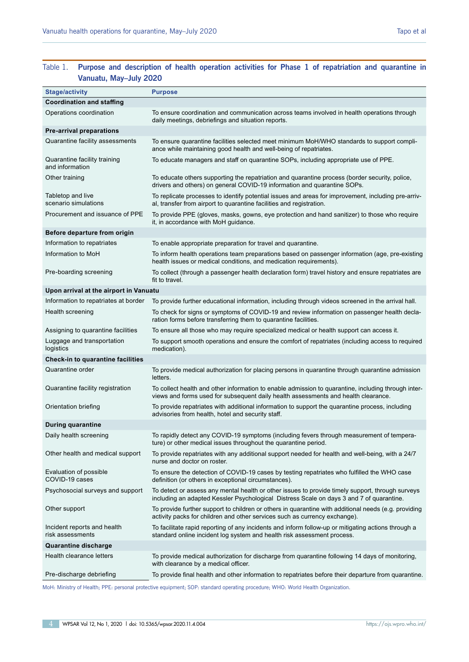## <span id="page-3-0"></span>Table 1. **Purpose and description of health operation activities for Phase 1 of repatriation and quarantine in Vanuatu, May–July 2020**

| <b>Stage/activity</b>                           | <b>Purpose</b>                                                                                                                                                                               |
|-------------------------------------------------|----------------------------------------------------------------------------------------------------------------------------------------------------------------------------------------------|
| <b>Coordination and staffing</b>                |                                                                                                                                                                                              |
| Operations coordination                         | To ensure coordination and communication across teams involved in health operations through<br>daily meetings, debriefings and situation reports.                                            |
| <b>Pre-arrival preparations</b>                 |                                                                                                                                                                                              |
| Quarantine facility assessments                 | To ensure quarantine facilities selected meet minimum MoH/WHO standards to support compli-<br>ance while maintaining good health and well-being of repatriates.                              |
| Quarantine facility training<br>and information | To educate managers and staff on quarantine SOPs, including appropriate use of PPE.                                                                                                          |
| Other training                                  | To educate others supporting the repatriation and quarantine process (border security, police,<br>drivers and others) on general COVID-19 information and quarantine SOPs.                   |
| Tabletop and live<br>scenario simulations       | To replicate processes to identify potential issues and areas for improvement, including pre-arriv-<br>al, transfer from airport to quarantine facilities and registration.                  |
| Procurement and issuance of PPE                 | To provide PPE (gloves, masks, gowns, eye protection and hand sanitizer) to those who require<br>it, in accordance with MoH guidance.                                                        |
| Before departure from origin                    |                                                                                                                                                                                              |
| Information to repatriates                      | To enable appropriate preparation for travel and quarantine.                                                                                                                                 |
| Information to MoH                              | To inform health operations team preparations based on passenger information (age, pre-existing<br>health issues or medical conditions, and medication requirements).                        |
| Pre-boarding screening                          | To collect (through a passenger health declaration form) travel history and ensure repatriates are<br>fit to travel.                                                                         |
| Upon arrival at the airport in Vanuatu          |                                                                                                                                                                                              |
| Information to repatriates at border            | To provide further educational information, including through videos screened in the arrival hall.                                                                                           |
| Health screening                                | To check for signs or symptoms of COVID-19 and review information on passenger health decla-<br>ration forms before transferring them to quarantine facilities.                              |
| Assigning to quarantine facilities              | To ensure all those who may require specialized medical or health support can access it.                                                                                                     |
| Luggage and transportation<br>logistics         | To support smooth operations and ensure the comfort of repatriates (including access to required<br>medication).                                                                             |
| Check-in to quarantine facilities               |                                                                                                                                                                                              |
| Quarantine order                                | To provide medical authorization for placing persons in quarantine through quarantine admission<br>letters.                                                                                  |
| Quarantine facility registration                | To collect health and other information to enable admission to quarantine, including through inter-<br>views and forms used for subsequent daily health assessments and health clearance.    |
| Orientation briefing                            | To provide repatriates with additional information to support the quarantine process, including<br>advisories from health, hotel and security staff.                                         |
| <b>During quarantine</b>                        |                                                                                                                                                                                              |
| Daily health screening                          | To rapidly detect any COVID-19 symptoms (including fevers through measurement of tempera-<br>ture) or other medical issues throughout the quarantine period.                                 |
| Other health and medical support                | To provide repatriates with any additional support needed for health and well-being, with a 24/7<br>nurse and doctor on roster.                                                              |
| Evaluation of possible<br>COVID-19 cases        | To ensure the detection of COVID-19 cases by testing repatriates who fulfilled the WHO case<br>definition (or others in exceptional circumstances).                                          |
| Psychosocial surveys and support                | To detect or assess any mental health or other issues to provide timely support, through surveys<br>including an adapted Kessler Psychological Distress Scale on days 3 and 7 of quarantine. |
| Other support                                   | To provide further support to children or others in quarantine with additional needs (e.g. providing<br>activity packs for children and other services such as currency exchange).           |
| Incident reports and health<br>risk assessments | To facilitate rapid reporting of any incidents and inform follow-up or mitigating actions through a<br>standard online incident log system and health risk assessment process.               |
| <b>Quarantine discharge</b>                     |                                                                                                                                                                                              |
| Health clearance letters                        | To provide medical authorization for discharge from quarantine following 14 days of monitoring,<br>with clearance by a medical officer.                                                      |
| Pre-discharge debriefing                        | To provide final health and other information to repatriates before their departure from quarantine.                                                                                         |
|                                                 |                                                                                                                                                                                              |

MoH: Ministry of Health; PPE: personal protective equipment; SOP: standard operating procedure; WHO: World Health Organization.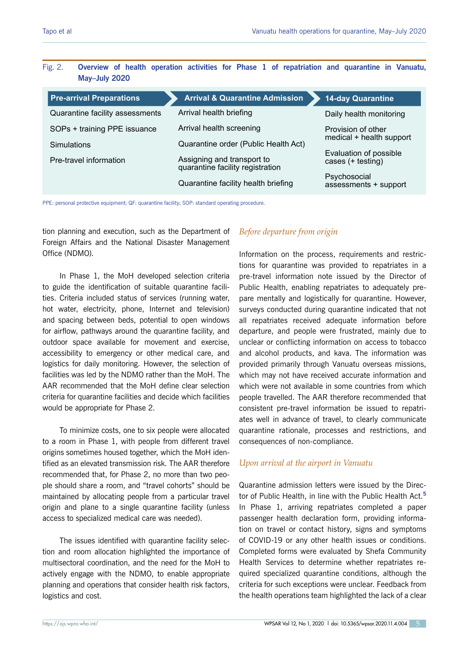### <span id="page-4-0"></span>Fig. 2. **Overview of health operation activities for Phase 1 of repatriation and quarantine in Vanuatu, May–July 2020**

| <b>Pre-arrival Preparations</b> | <b>Arrival &amp; Quarantine Admission</b>                      | <b>14-day Quarantine</b>                       |
|---------------------------------|----------------------------------------------------------------|------------------------------------------------|
| Quarantine facility assessments | Arrival health briefing                                        | Daily health monitoring                        |
| SOPs + training PPE issuance    | Arrival health screening                                       | Provision of other<br>medical + health support |
| <b>Simulations</b>              | Quarantine order (Public Health Act)                           |                                                |
| Pre-travel information          | Assigning and transport to<br>quarantine facility registration | Evaluation of possible<br>cases (+ testing)    |
|                                 | Quarantine facility health briefing                            | Psychosocial<br>assessments + support          |

PPE: personal protective equipment; QF: quarantine facility; SOP: standard operating procedure.

tion planning and execution, such as the Department of Foreign Affairs and the National Disaster Management Office (NDMO).

In Phase 1, the MoH developed selection criteria to guide the identification of suitable quarantine facilities. Criteria included status of services (running water, hot water, electricity, phone, Internet and television) and spacing between beds, potential to open windows for airflow, pathways around the quarantine facility, and outdoor space available for movement and exercise, accessibility to emergency or other medical care, and logistics for daily monitoring. However, the selection of facilities was led by the NDMO rather than the MoH. The AAR recommended that the MoH define clear selection criteria for quarantine facilities and decide which facilities would be appropriate for Phase 2.

To minimize costs, one to six people were allocated to a room in Phase 1, with people from different travel origins sometimes housed together, which the MoH identified as an elevated transmission risk. The AAR therefore recommended that, for Phase 2, no more than two people should share a room, and "travel cohorts" should be maintained by allocating people from a particular travel origin and plane to a single quarantine facility (unless access to specialized medical care was needed).

The issues identified with quarantine facility selection and room allocation highlighted the importance of multisectoral coordination, and the need for the MoH to actively engage with the NDMO, to enable appropriate planning and operations that consider health risk factors, logistics and cost.

## *Before departure from origin*

Information on the process, requirements and restrictions for quarantine was provided to repatriates in a pre-travel information note issued by the Director of Public Health, enabling repatriates to adequately prepare mentally and logistically for quarantine. However, surveys conducted during quarantine indicated that not all repatriates received adequate information before departure, and people were frustrated, mainly due to unclear or conflicting information on access to tobacco and alcohol products, and kava. The information was provided primarily through Vanuatu overseas missions, which may not have received accurate information and which were not available in some countries from which people travelled. The AAR therefore recommended that consistent pre-travel information be issued to repatriates well in advance of travel, to clearly communicate quarantine rationale, processes and restrictions, and consequences of non-compliance.

## *Upon arrival at the airport in Vanuatu*

Quarantine admission letters were issued by the Director of Public Health, in line with the Public Health Act.**<sup>5</sup>** In Phase 1, arriving repatriates completed a paper passenger health declaration form, providing information on travel or contact history, signs and symptoms of COVID-19 or any other health issues or conditions. Completed forms were evaluated by Shefa Community Health Services to determine whether repatriates required specialized quarantine conditions, although the criteria for such exceptions were unclear. Feedback from the health operations team highlighted the lack of a clear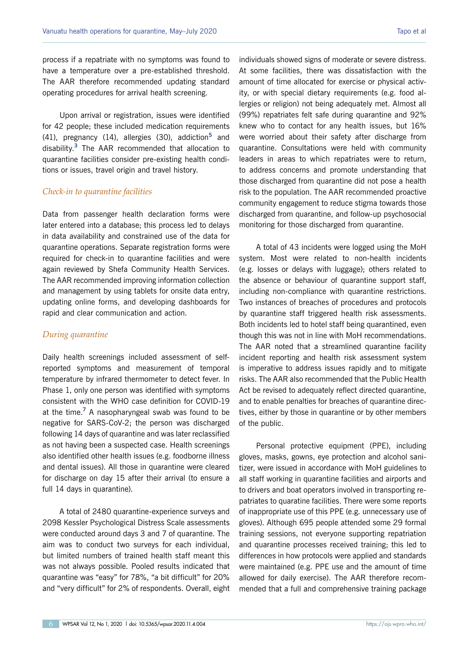process if a repatriate with no symptoms was found to have a temperature over a pre-established threshold. The AAR therefore recommended updating standard operating procedures for arrival health screening.

Upon arrival or registration, issues were identified for 42 people; these included medication requirements (41), pregnancy (14), allergies (30), addiction**<sup>5</sup>** and disability.**<sup>3</sup>** The AAR recommended that allocation to quarantine facilities consider pre-existing health conditions or issues, travel origin and travel history.

#### *Check-in to quarantine facilities*

Data from passenger health declaration forms were later entered into a database; this process led to delays in data availability and constrained use of the data for quarantine operations. Separate registration forms were required for check-in to quarantine facilities and were again reviewed by Shefa Community Health Services. The AAR recommended improving information collection and management by using tablets for onsite data entry, updating online forms, and developing dashboards for rapid and clear communication and action.

#### *During quarantine*

Daily health screenings included assessment of selfreported symptoms and measurement of temporal temperature by infrared thermometer to detect fever. In Phase 1, only one person was identified with symptoms consistent with the WHO case definition for COVID-19 at the time.**<sup>7</sup>** A nasopharyngeal swab was found to be negative for SARS-CoV-2; the person was discharged following 14 days of quarantine and was later reclassified as not having been a suspected case. Health screenings also identified other health issues (e.g. foodborne illness and dental issues). All those in quarantine were cleared for discharge on day 15 after their arrival (to ensure a full 14 days in quarantine).

A total of 2480 quarantine-experience surveys and 2098 Kessler Psychological Distress Scale assessments were conducted around days 3 and 7 of quarantine. The aim was to conduct two surveys for each individual, but limited numbers of trained health staff meant this was not always possible. Pooled results indicated that quarantine was "easy" for 78%, "a bit difficult" for 20% and "very difficult" for 2% of respondents. Overall, eight

individuals showed signs of moderate or severe distress. At some facilities, there was dissatisfaction with the amount of time allocated for exercise or physical activity, or with special dietary requirements (e.g. food allergies or religion) not being adequately met. Almost all (99%) repatriates felt safe during quarantine and 92% knew who to contact for any health issues, but 16% were worried about their safety after discharge from quarantine. Consultations were held with community leaders in areas to which repatriates were to return, to address concerns and promote understanding that those discharged from quarantine did not pose a health risk to the population. The AAR recommended proactive community engagement to reduce stigma towards those discharged from quarantine, and follow-up psychosocial monitoring for those discharged from quarantine.

A total of 43 incidents were logged using the MoH system. Most were related to non-health incidents (e.g. losses or delays with luggage); others related to the absence or behaviour of quarantine support staff, including non-compliance with quarantine restrictions. Two instances of breaches of procedures and protocols by quarantine staff triggered health risk assessments. Both incidents led to hotel staff being quarantined, even though this was not in line with MoH recommendations. The AAR noted that a streamlined quarantine facility incident reporting and health risk assessment system is imperative to address issues rapidly and to mitigate risks. The AAR also recommended that the Public Health Act be revised to adequately reflect directed quarantine, and to enable penalties for breaches of quarantine directives, either by those in quarantine or by other members of the public.

Personal protective equipment (PPE), including gloves, masks, gowns, eye protection and alcohol sanitizer, were issued in accordance with MoH guidelines to all staff working in quarantine facilities and airports and to drivers and boat operators involved in transporting repatriates to quaratine facilities. There were some reports of inappropriate use of this PPE (e.g. unnecessary use of gloves). Although 695 people attended some 29 formal training sessions, not everyone supporting repatriation and quarantine processes received training; this led to differences in how protocols were applied and standards were maintained (e.g. PPE use and the amount of time allowed for daily exercise). The AAR therefore recommended that a full and comprehensive training package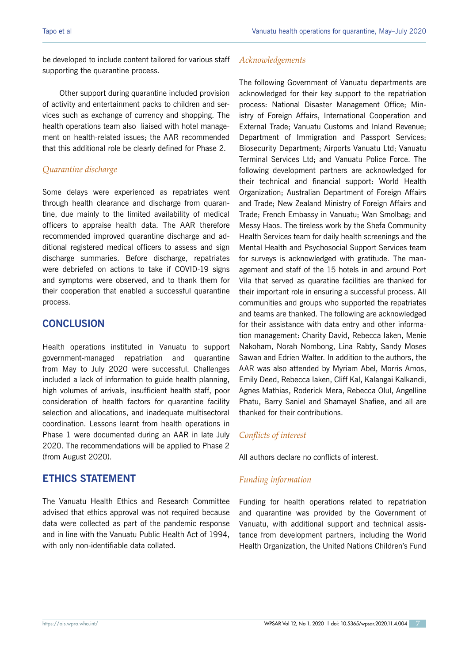be developed to include content tailored for various staff supporting the quarantine process.

Other support during quarantine included provision of activity and entertainment packs to children and services such as exchange of currency and shopping. The health operations team also liaised with hotel management on health-related issues; the AAR recommended that this additional role be clearly defined for Phase 2.

#### *Quarantine discharge*

Some delays were experienced as repatriates went through health clearance and discharge from quarantine, due mainly to the limited availability of medical officers to appraise health data. The AAR therefore recommended improved quarantine discharge and additional registered medical officers to assess and sign discharge summaries. Before discharge, repatriates were debriefed on actions to take if COVID-19 signs and symptoms were observed, and to thank them for their cooperation that enabled a successful quarantine process.

# **CONCLUSION**

Health operations instituted in Vanuatu to support government-managed repatriation and quarantine from May to July 2020 were successful. Challenges included a lack of information to guide health planning, high volumes of arrivals, insufficient health staff, poor consideration of health factors for quarantine facility selection and allocations, and inadequate multisectoral coordination. Lessons learnt from health operations in Phase 1 were documented during an AAR in late July 2020. The recommendations will be applied to Phase 2 (from August 2020).

# **ETHICS STATEMENT**

The Vanuatu Health Ethics and Research Committee advised that ethics approval was not required because data were collected as part of the pandemic response and in line with the Vanuatu Public Health Act of 1994, with only non-identifiable data collated.

#### *Acknowledgements*

The following Government of Vanuatu departments are acknowledged for their key support to the repatriation process: National Disaster Management Office; Ministry of Foreign Affairs, International Cooperation and External Trade; Vanuatu Customs and Inland Revenue; Department of Immigration and Passport Services; Biosecurity Department; Airports Vanuatu Ltd; Vanuatu Terminal Services Ltd; and Vanuatu Police Force. The following development partners are acknowledged for their technical and financial support: World Health Organization; Australian Department of Foreign Affairs and Trade; New Zealand Ministry of Foreign Affairs and Trade; French Embassy in Vanuatu; Wan Smolbag; and Messy Haos. The tireless work by the Shefa Community Health Services team for daily health screenings and the Mental Health and Psychosocial Support Services team for surveys is acknowledged with gratitude. The management and staff of the 15 hotels in and around Port Vila that served as quaratine facilities are thanked for their important role in ensuring a successful process. All communities and groups who supported the repatriates and teams are thanked. The following are acknowledged for their assistance with data entry and other information management: Charity David, Rebecca Iaken, Menie Nakoham, Norah Nombong, Lina Rabty, Sandy Moses Sawan and Edrien Walter. In addition to the authors, the AAR was also attended by Myriam Abel, Morris Amos, Emily Deed, Rebecca Iaken, Cliff Kal, Kalangai Kalkandi, Agnes Mathias, Roderick Mera, Rebecca Olul, Angelline Phatu, Barry Saniel and Shamayel Shafiee, and all are thanked for their contributions.

#### *Conflicts of interest*

All authors declare no conflicts of interest.

#### *Funding information*

Funding for health operations related to repatriation and quarantine was provided by the Government of Vanuatu, with additional support and technical assistance from development partners, including the World Health Organization, the United Nations Children's Fund